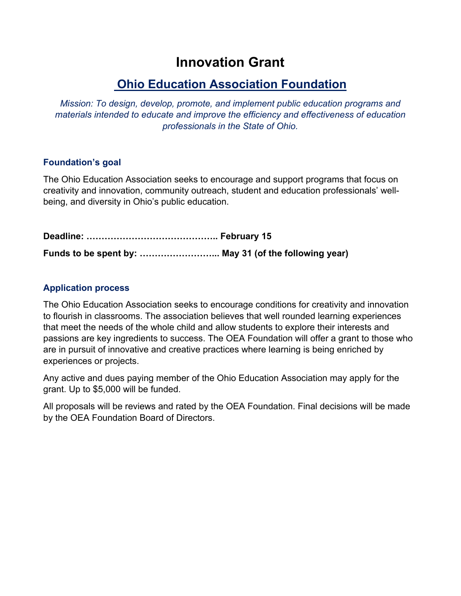# **Innovation Grant**

## **Ohio Education Association Foundation**

*Mission: To design, develop, promote, and implement public education programs and materials intended to educate and improve the efficiency and effectiveness of education professionals in the State of Ohio.* 

## **Foundation's goal**

The Ohio Education Association seeks to encourage and support programs that focus on creativity and innovation, community outreach, student and education professionals' wellbeing, and diversity in Ohio's public education.

**Deadline: …………………………………….. February 15 Funds to be spent by: ……………………... May 31 (of the following year)**

## **Application process**

The Ohio Education Association seeks to encourage conditions for creativity and innovation to flourish in classrooms. The association believes that well rounded learning experiences that meet the needs of the whole child and allow students to explore their interests and passions are key ingredients to success. The OEA Foundation will offer a grant to those who are in pursuit of innovative and creative practices where learning is being enriched by experiences or projects.

Any active and dues paying member of the Ohio Education Association may apply for the grant. Up to \$5,000 will be funded.

All proposals will be reviews and rated by the OEA Foundation. Final decisions will be made by the OEA Foundation Board of Directors.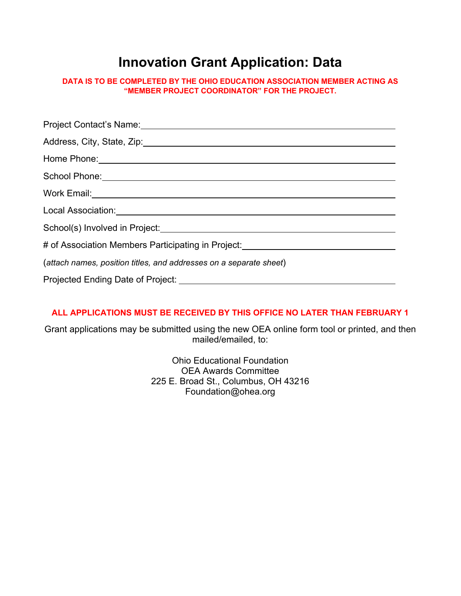# **Innovation Grant Application: Data**

**DATA IS TO BE COMPLETED BY THE OHIO EDUCATION ASSOCIATION MEMBER ACTING AS "MEMBER PROJECT COORDINATOR" FOR THE PROJECT.**

| School Phone: 2000 Change Contains the Contract of the Contains of the Contains of the Contains of the Contains of the Contains of the Contains of the Contains of the Contains of the Contains of the Contains of the Contain |  |  |
|--------------------------------------------------------------------------------------------------------------------------------------------------------------------------------------------------------------------------------|--|--|
| Work Email: University of the Contract of the Contract of the Contract of the Contract of the Contract of the Contract of the Contract of the Contract of the Contract of the Contract of the Contract of the Contract of the  |  |  |
|                                                                                                                                                                                                                                |  |  |
| School(s) Involved in Project: School and The Contract of the Contract of the Contract of the Contract of the Contract of the Contract of the Contract of the Contract of the Contract of the Contract of the Contract of the  |  |  |
| # of Association Members Participating in Project:<br>We are also contained the manufacture of Association Members of Association Members of Association Members an                                                            |  |  |
| (attach names, position titles, and addresses on a separate sheet)                                                                                                                                                             |  |  |
| Projected Ending Date of Project:                                                                                                                                                                                              |  |  |

### **ALL APPLICATIONS MUST BE RECEIVED BY THIS OFFICE NO LATER THAN FEBRUARY 1**

Grant applications may be submitted using the new OEA online form tool or printed, and then mailed/emailed, to:

> Ohio Educational Foundation OEA Awards Committee 225 E. Broad St., Columbus, OH 43216 Foundation@ohea.org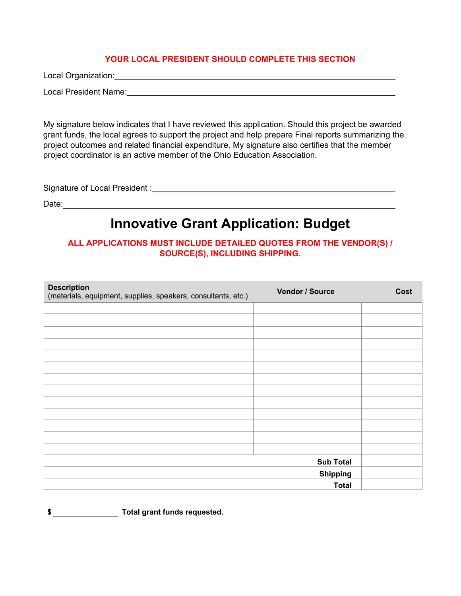#### **YOUR LOCAL PRESIDENT SHOULD COMPLETE THIS SECTION**

Local Organization:

Local President Name: Name: Name and Alexander Annual Alexander Annual Alexander Annual Alexander Annual Alexander Annual Alexander Annual Alexander Annual Alexander Annual Alexander Annual Alexander Annual Alexander Annua

My signature below indicates that I have reviewed this application. Should this project be awarded grant funds, the local agrees to support the project and help prepare Final reports summarizing the project outcomes and related financial expenditure. My signature also certifies that the member project coordinator is an active member of the Ohio Education Association.

Signature of Local President :

Date: with a set of the set of the set of the set of the set of the set of the set of the set of the set of the set of the set of the set of the set of the set of the set of the set of the set of the set of the set of the

## **Innovative Grant Application: Budget**

### **ALL APPLICATIONS MUST INCLUDE DETAILED QUOTES FROM THE VENDOR(S) / SOURCE(S), INCLUDING SHIPPING.**

| <b>Description</b><br>(materials, equipment, supplies, speakers, consultants, etc.) | Vendor / Source  | Cost |
|-------------------------------------------------------------------------------------|------------------|------|
|                                                                                     |                  |      |
|                                                                                     |                  |      |
|                                                                                     |                  |      |
|                                                                                     |                  |      |
|                                                                                     |                  |      |
|                                                                                     |                  |      |
|                                                                                     |                  |      |
|                                                                                     |                  |      |
|                                                                                     |                  |      |
|                                                                                     |                  |      |
|                                                                                     |                  |      |
|                                                                                     |                  |      |
|                                                                                     |                  |      |
|                                                                                     | <b>Sub Total</b> |      |
|                                                                                     | <b>Shipping</b>  |      |
|                                                                                     | <b>Total</b>     |      |

**\$ Total grant funds requested.**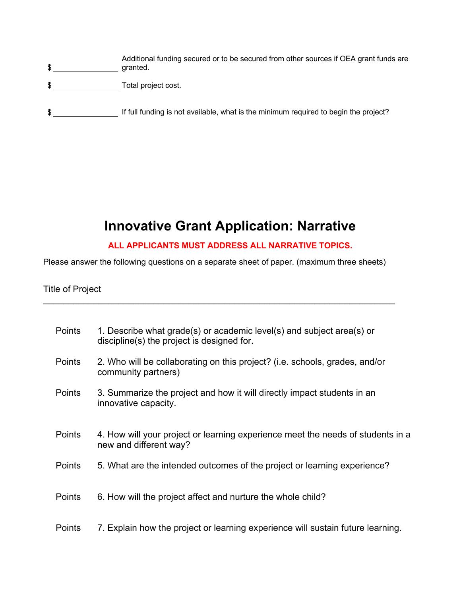- \$ granted. Additional funding secured or to be secured from other sources if OEA grant funds are
- \$ Total project cost.
- \$ \_\_\_\_\_\_\_\_\_\_\_\_\_\_\_\_\_\_\_\_\_\_\_ If full funding is not available, what is the minimum required to begin the project?

# **Innovative Grant Application: Narrative**

## **ALL APPLICANTS MUST ADDRESS ALL NARRATIVE TOPICS.**

Please answer the following questions on a separate sheet of paper. (maximum three sheets)

\_\_\_\_\_\_\_\_\_\_\_\_\_\_\_\_\_\_\_\_\_\_\_\_\_\_\_\_\_\_\_\_\_\_\_\_\_\_\_\_\_\_\_\_\_\_\_\_\_\_\_\_\_\_\_\_\_\_\_\_\_\_\_\_\_\_\_\_\_\_

### Title of Project

| <b>Points</b> | 1. Describe what grade(s) or academic level(s) and subject area(s) or<br>discipline(s) the project is designed for. |
|---------------|---------------------------------------------------------------------------------------------------------------------|
| <b>Points</b> | 2. Who will be collaborating on this project? (i.e. schools, grades, and/or<br>community partners)                  |
| <b>Points</b> | 3. Summarize the project and how it will directly impact students in an<br>innovative capacity.                     |
| <b>Points</b> | 4. How will your project or learning experience meet the needs of students in a<br>new and different way?           |
| <b>Points</b> | 5. What are the intended outcomes of the project or learning experience?                                            |
| <b>Points</b> | 6. How will the project affect and nurture the whole child?                                                         |
| <b>Points</b> | 7. Explain how the project or learning experience will sustain future learning.                                     |